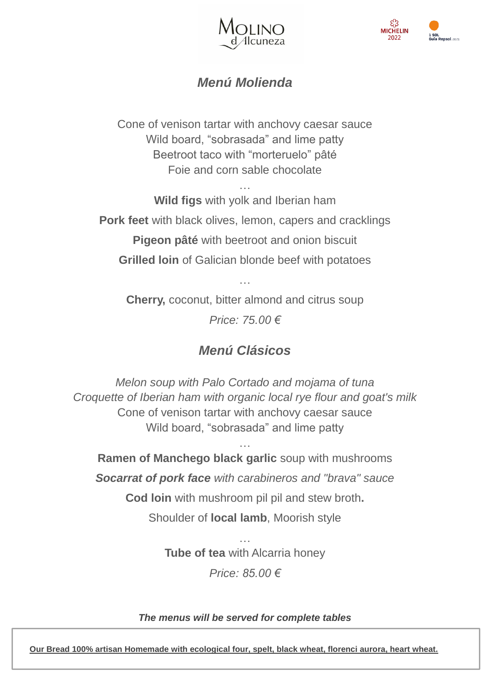



## *Menú Molienda*

Cone of venison tartar with anchovy caesar sauce Wild board, "sobrasada" and lime patty Beetroot taco with "morteruelo" pâté Foie and corn sable chocolate

… **Wild figs** with yolk and Iberian ham **Pork feet** with black olives, lemon, capers and cracklings **Pigeon pâté** with beetroot and onion biscuit **Grilled loin** of Galician blonde beef with potatoes

**Cherry,** coconut, bitter almond and citrus soup *Price: 75.00 €*

…

## *Menú Clásicos*

*Melon soup with Palo Cortado and mojama of tuna Croquette of Iberian ham with organic local rye flour and goat's milk* Cone of venison tartar with anchovy caesar sauce Wild board, "sobrasada" and lime patty

… **Ramen of Manchego black garlic** soup with mushrooms *Socarrat of pork face with carabineros and "brava" sauce* **Cod loin** with mushroom pil pil and stew broth**.** Shoulder of **local lamb**, Moorish style

> … **Tube of tea** with Alcarria honey *Price: 85.00 €*

*The menus will be served for complete tables*

**Our Bread 100% artisan Homemade with ecological four, spelt, black wheat, florenci aurora, heart wheat.**